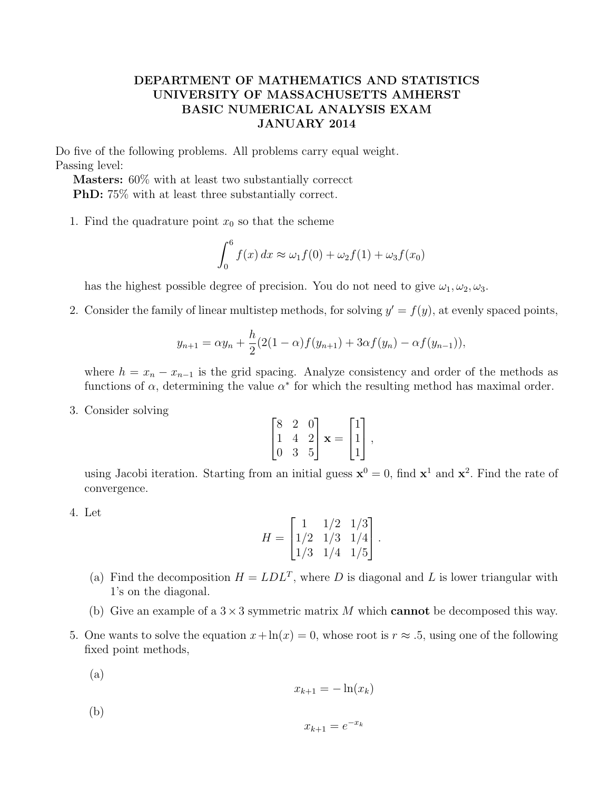## DEPARTMENT OF MATHEMATICS AND STATISTICS UNIVERSITY OF MASSACHUSETTS AMHERST BASIC NUMERICAL ANALYSIS EXAM JANUARY 2014

Do five of the following problems. All problems carry equal weight. Passing level:

Masters: 60% with at least two substantially correcct PhD: 75% with at least three substantially correct.

1. Find the quadrature point  $x_0$  so that the scheme

$$
\int_0^6 f(x) dx \approx \omega_1 f(0) + \omega_2 f(1) + \omega_3 f(x_0)
$$

has the highest possible degree of precision. You do not need to give  $\omega_1, \omega_2, \omega_3$ .

2. Consider the family of linear multistep methods, for solving  $y' = f(y)$ , at evenly spaced points,

$$
y_{n+1} = \alpha y_n + \frac{h}{2}(2(1-\alpha)f(y_{n+1}) + 3\alpha f(y_n) - \alpha f(y_{n-1})),
$$

where  $h = x_n - x_{n-1}$  is the grid spacing. Analyze consistency and order of the methods as functions of  $\alpha$ , determining the value  $\alpha^*$  for which the resulting method has maximal order.

3. Consider solving

$$
\begin{bmatrix} 8 & 2 & 0 \\ 1 & 4 & 2 \\ 0 & 3 & 5 \end{bmatrix} \mathbf{x} = \begin{bmatrix} 1 \\ 1 \\ 1 \end{bmatrix},
$$

using Jacobi iteration. Starting from an initial guess  $\mathbf{x}^0 = 0$ , find  $\mathbf{x}^1$  and  $\mathbf{x}^2$ . Find the rate of convergence.

4. Let

$$
H = \begin{bmatrix} 1 & 1/2 & 1/3 \\ 1/2 & 1/3 & 1/4 \\ 1/3 & 1/4 & 1/5 \end{bmatrix}.
$$

- (a) Find the decomposition  $H = LDL^T$ , where D is diagonal and L is lower triangular with 1's on the diagonal.
- (b) Give an example of a  $3 \times 3$  symmetric matrix M which **cannot** be decomposed this way.
- 5. One wants to solve the equation  $x + \ln(x) = 0$ , whose root is  $r \approx .5$ , using one of the following fixed point methods,
	- (a)

$$
x_{k+1} = -\ln(x_k)
$$

(b)

$$
x_{k+1} = e^{-x_k}
$$